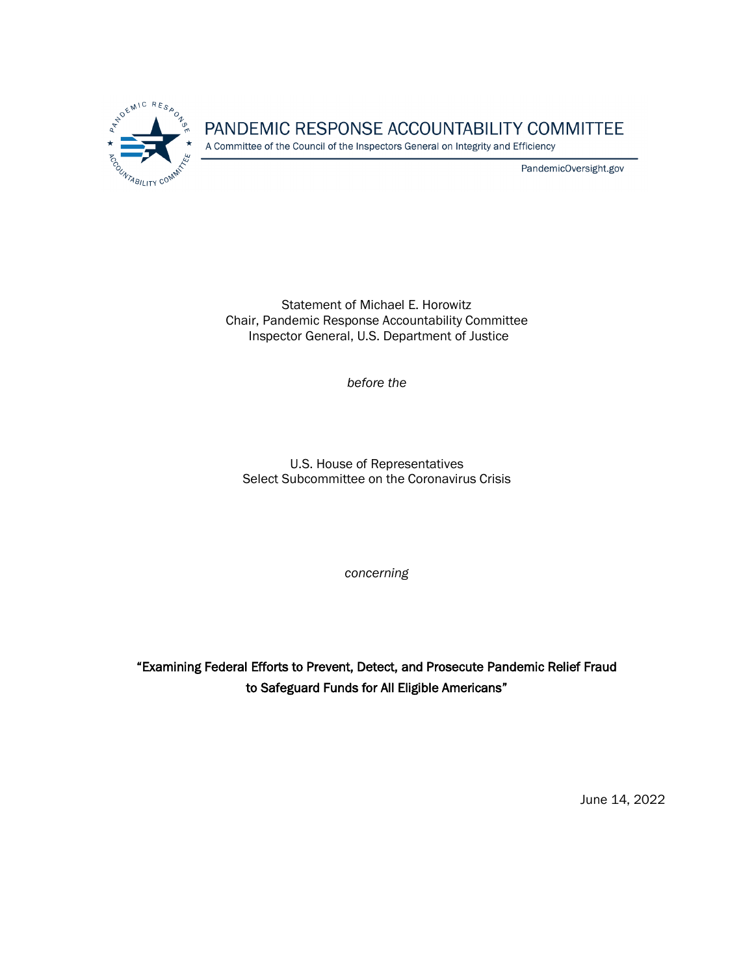

# PANDEMIC RESPONSE ACCOUNTABILITY COMMITTEE

A Committee of the Council of the Inspectors General on Integrity and Efficiency

PandemicOversight.gov

Statement of Michael E. Horowitz Chair, Pandemic Response Accountability Committee Inspector General, U.S. Department of Justice

*before the*

U.S. House of Representatives Select Subcommittee on the Coronavirus Crisis

*concerning*

"Examining Federal Efforts to Prevent, Detect, and Prosecute Pandemic Relief Fraud to Safeguard Funds for All Eligible Americans"

June 14, 2022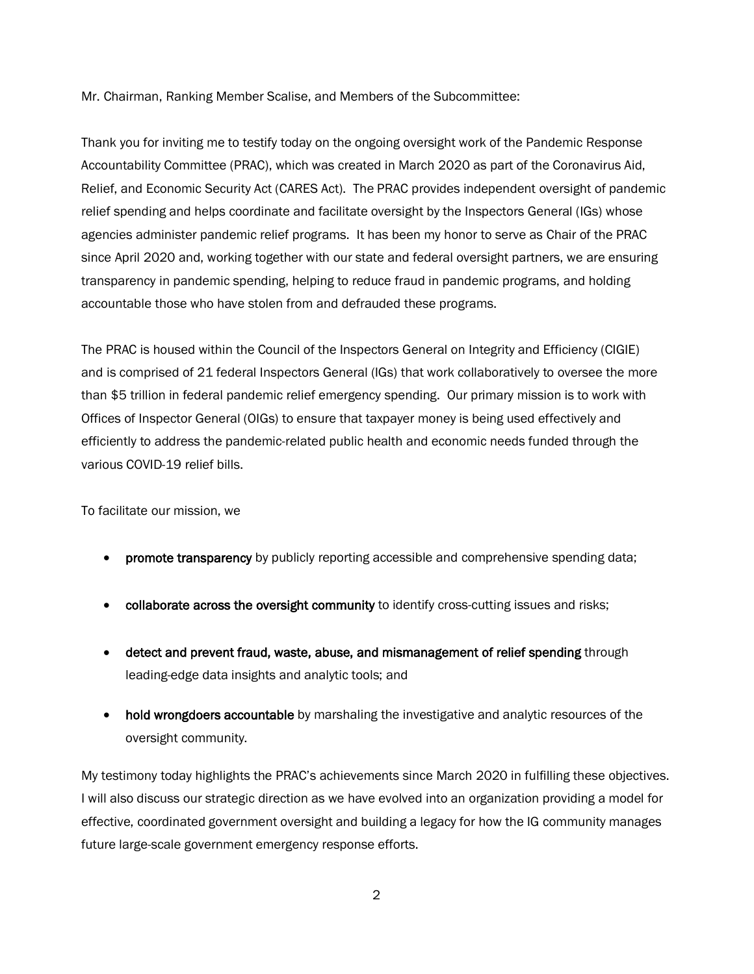Mr. Chairman, Ranking Member Scalise, and Members of the Subcommittee:

Thank you for inviting me to testify today on the ongoing oversight work of the Pandemic Response Accountability Committee (PRAC), which was created in March 2020 as part of the Coronavirus Aid, Relief, and Economic Security Act (CARES Act). The PRAC provides independent oversight of pandemic relief spending and helps coordinate and facilitate oversight by the Inspectors General (IGs) whose agencies administer pandemic relief programs. It has been my honor to serve as Chair of the PRAC since April 2020 and, working together with our state and federal oversight partners, we are ensuring transparency in pandemic spending, helping to reduce fraud in pandemic programs, and holding accountable those who have stolen from and defrauded these programs.

The PRAC is housed within the Council of the Inspectors General on Integrity and Efficiency (CIGIE) and is comprised of 21 federal Inspectors General (IGs) that work collaboratively to oversee the more than \$5 trillion in federal pandemic relief emergency spending. Our primary mission is to work with Offices of Inspector General (OIGs) to ensure that taxpayer money is being used effectively and efficiently to address the pandemic-related public health and economic needs funded through the various COVID-19 relief bills.

To facilitate our mission, we

- **promote transparency** by publicly reporting accessible and comprehensive spending data;
- collaborate across the oversight community to identify cross-cutting issues and risks;
- detect and prevent fraud, waste, abuse, and mismanagement of relief spending through leading-edge data insights and analytic tools; and
- hold wrongdoers accountable by marshaling the investigative and analytic resources of the oversight community.

My testimony today highlights the PRAC's achievements since March 2020 in fulfilling these objectives. I will also discuss our strategic direction as we have evolved into an organization providing a model for effective, coordinated government oversight and building a legacy for how the IG community manages future large-scale government emergency response efforts.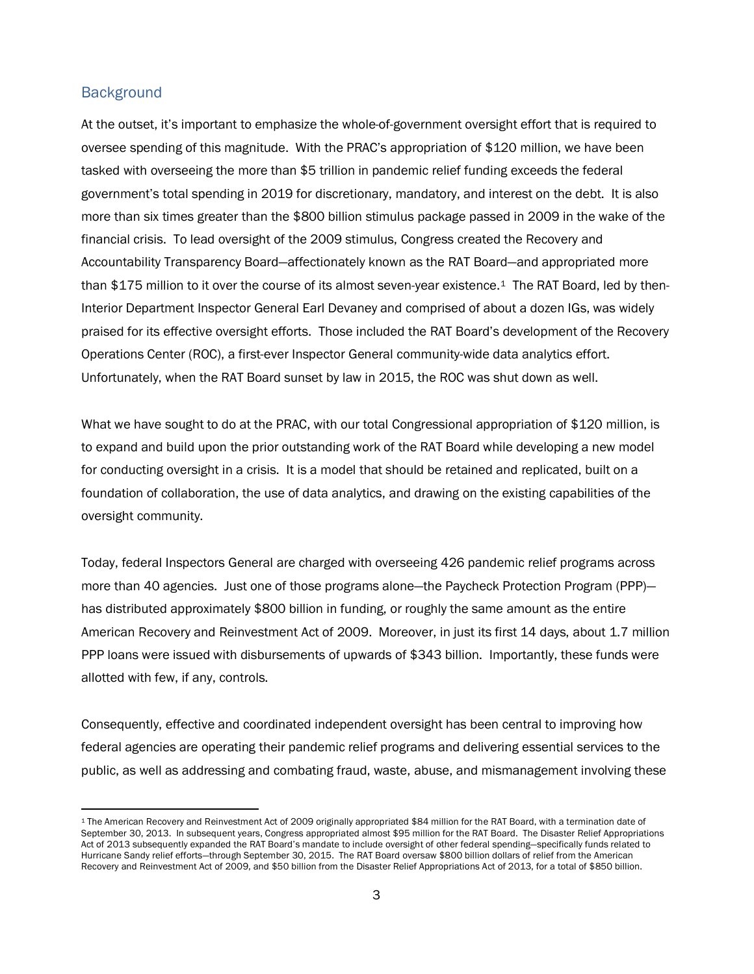#### **Background**

At the outset, it's important to emphasize the whole-of-government oversight effort that is required to oversee spending of this magnitude. With the PRAC's appropriation of \$120 million, we have been tasked with overseeing the more than \$5 trillion in pandemic relief funding exceeds the federal government's total spending in 2019 for discretionary, mandatory, and interest on the debt. It is also more than six times greater than the \$800 billion stimulus package passed in 2009 in the wake of the financial crisis. To lead oversight of the 2009 stimulus, Congress created the Recovery and Accountability Transparency Board—affectionately known as the RAT Board—and appropriated more than \$175 million to it over the course of its almost seven-year existence.[1](#page-2-0) The RAT Board, led by then-Interior Department Inspector General Earl Devaney and comprised of about a dozen IGs, was widely praised for its effective oversight efforts. Those included the RAT Board's development of the Recovery Operations Center (ROC), a first-ever Inspector General community-wide data analytics effort. Unfortunately, when the RAT Board sunset by law in 2015, the ROC was shut down as well.

What we have sought to do at the PRAC, with our total Congressional appropriation of \$120 million, is to expand and build upon the prior outstanding work of the RAT Board while developing a new model for conducting oversight in a crisis. It is a model that should be retained and replicated, built on a foundation of collaboration, the use of data analytics, and drawing on the existing capabilities of the oversight community.

Today, federal Inspectors General are charged with overseeing 426 pandemic relief programs across more than 40 agencies. Just one of those programs alone—the Paycheck Protection Program (PPP) has distributed approximately \$800 billion in funding, or roughly the same amount as the entire American Recovery and Reinvestment Act of 2009. Moreover, in just its first 14 days, about 1.7 million PPP loans were issued with disbursements of upwards of \$343 billion. Importantly, these funds were allotted with few, if any, controls.

Consequently, effective and coordinated independent oversight has been central to improving how federal agencies are operating their pandemic relief programs and delivering essential services to the public, as well as addressing and combating fraud, waste, abuse, and mismanagement involving these

<span id="page-2-0"></span><sup>1</sup> The American Recovery and Reinvestment Act of 2009 originally appropriated \$84 million for the RAT Board, with a termination date of September 30, 2013. In subsequent years, Congress appropriated almost \$95 million for the RAT Board. The Disaster Relief Appropriations Act of 2013 subsequently expanded the RAT Board's mandate to include oversight of other federal spending—specifically funds related to Hurricane Sandy relief efforts—through September 30, 2015. The RAT Board oversaw \$800 billion dollars of relief from the American Recovery and Reinvestment Act of 2009, and \$50 billion from the Disaster Relief Appropriations Act of 2013, for a total of \$850 billion.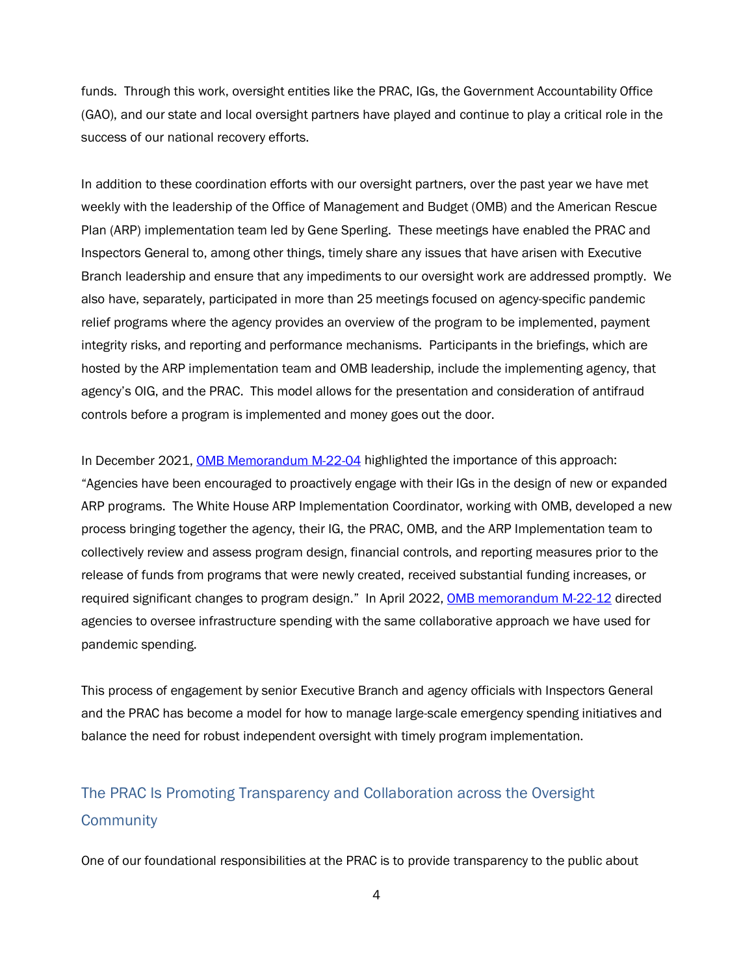funds. Through this work, oversight entities like the PRAC, IGs, the Government Accountability Office (GAO), and our state and local oversight partners have played and continue to play a critical role in the success of our national recovery efforts.

In addition to these coordination efforts with our oversight partners, over the past year we have met weekly with the leadership of the Office of Management and Budget (OMB) and the American Rescue Plan (ARP) implementation team led by Gene Sperling. These meetings have enabled the PRAC and Inspectors General to, among other things, timely share any issues that have arisen with Executive Branch leadership and ensure that any impediments to our oversight work are addressed promptly. We also have, separately, participated in more than 25 meetings focused on agency-specific pandemic relief programs where the agency provides an overview of the program to be implemented, payment integrity risks, and reporting and performance mechanisms. Participants in the briefings, which are hosted by the ARP implementation team and OMB leadership, include the implementing agency, that agency's OIG, and the PRAC. This model allows for the presentation and consideration of antifraud controls before a program is implemented and money goes out the door.

In December 2021, [OMB Memorandum M-22-04](https://www.whitehouse.gov/wp-content/uploads/2021/12/M-22-04-IG-Cooperation.pdf) highlighted the importance of this approach: "Agencies have been encouraged to proactively engage with their IGs in the design of new or expanded ARP programs. The White House ARP Implementation Coordinator, working with OMB, developed a new process bringing together the agency, their IG, the PRAC, OMB, and the ARP Implementation team to collectively review and assess program design, financial controls, and reporting measures prior to the release of funds from programs that were newly created, received substantial funding increases, or required significant changes to program design." In April 2022, [OMB memorandum M-22-12](https://www.whitehouse.gov/wp-content/uploads/2022/04/M-22-12.pdf) directed agencies to oversee infrastructure spending with the same collaborative approach we have used for pandemic spending.

This process of engagement by senior Executive Branch and agency officials with Inspectors General and the PRAC has become a model for how to manage large-scale emergency spending initiatives and balance the need for robust independent oversight with timely program implementation.

# The PRAC Is Promoting Transparency and Collaboration across the Oversight **Community**

One of our foundational responsibilities at the PRAC is to provide transparency to the public about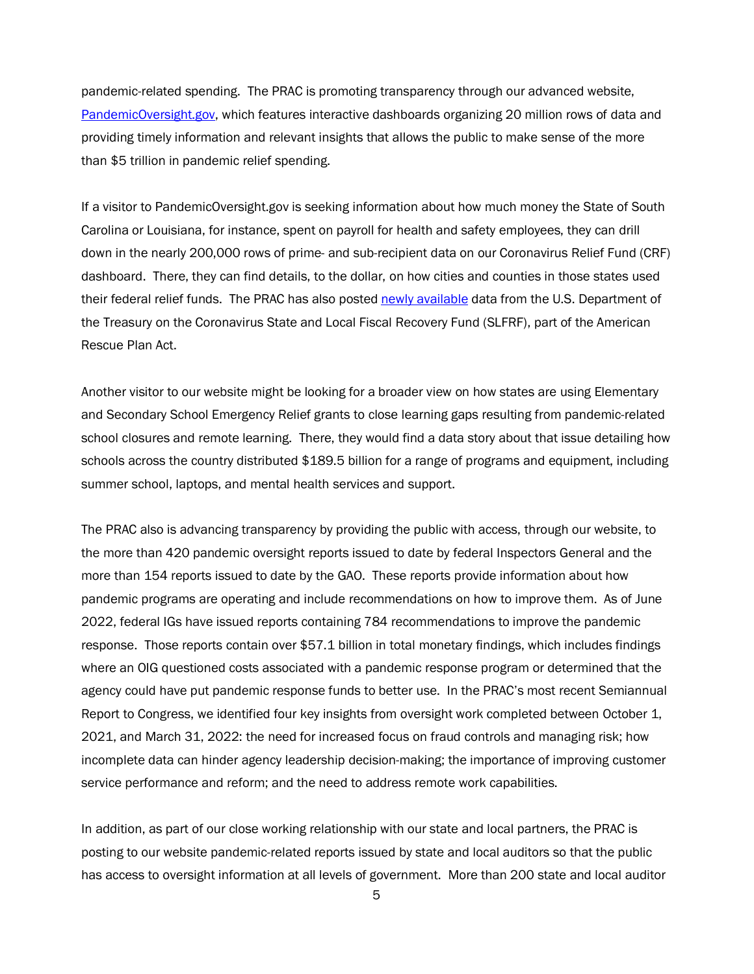pandemic-related spending. The PRAC is promoting transparency through our advanced website, [PandemicOversight.gov,](https://www.pandemicoversight.gov/) which features interactive dashboards organizing 20 million rows of data and providing timely information and relevant insights that allows the public to make sense of the more than \$5 trillion in pandemic relief spending.

If a visitor to PandemicOversight.gov is seeking information about how much money the State of South Carolina or Louisiana, for instance, spent on payroll for health and safety employees, they can drill down in the nearly 200,000 rows of prime- and sub-recipient data on our Coronavirus Relief Fund (CRF) dashboard. There, they can find details, to the dollar, on how cities and counties in those states used their federal relief funds. The PRAC has also posted [newly available](https://www.pandemicoversight.gov/data-interactive-tools/data-download-center) data from the U.S. Department of the Treasury on the Coronavirus State and Local Fiscal Recovery Fund (SLFRF), part of the American Rescue Plan Act.

Another visitor to our website might be looking for a broader view on how states are using Elementary and Secondary School Emergency Relief grants to close learning gaps resulting from pandemic-related school closures and remote learning. There, they would find a data story about that issue detailing how schools across the country distributed \$189.5 billion for a range of programs and equipment, including summer school, laptops, and mental health services and support.

The PRAC also is advancing transparency by providing the public with access, through our website, to the more than 420 pandemic oversight reports issued to date by federal Inspectors General and the more than 154 reports issued to date by the GAO. These reports provide information about how pandemic programs are operating and include recommendations on how to improve them. As of June 2022, federal IGs have issued reports containing 784 recommendations to improve the pandemic response. Those reports contain over \$57.1 billion in total monetary findings, which includes findings where an OIG questioned costs associated with a pandemic response program or determined that the agency could have put pandemic response funds to better use. In the PRAC's most recent Semiannual Report to Congress, we identified four key insights from oversight work completed between October 1, 2021, and March 31, 2022: the need for increased focus on fraud controls and managing risk; how incomplete data can hinder agency leadership decision-making; the importance of improving customer service performance and reform; and the need to address remote work capabilities.

In addition, as part of our close working relationship with our state and local partners, the PRAC is posting to our website pandemic-related reports issued by state and local auditors so that the public has access to oversight information at all levels of government. More than 200 state and local auditor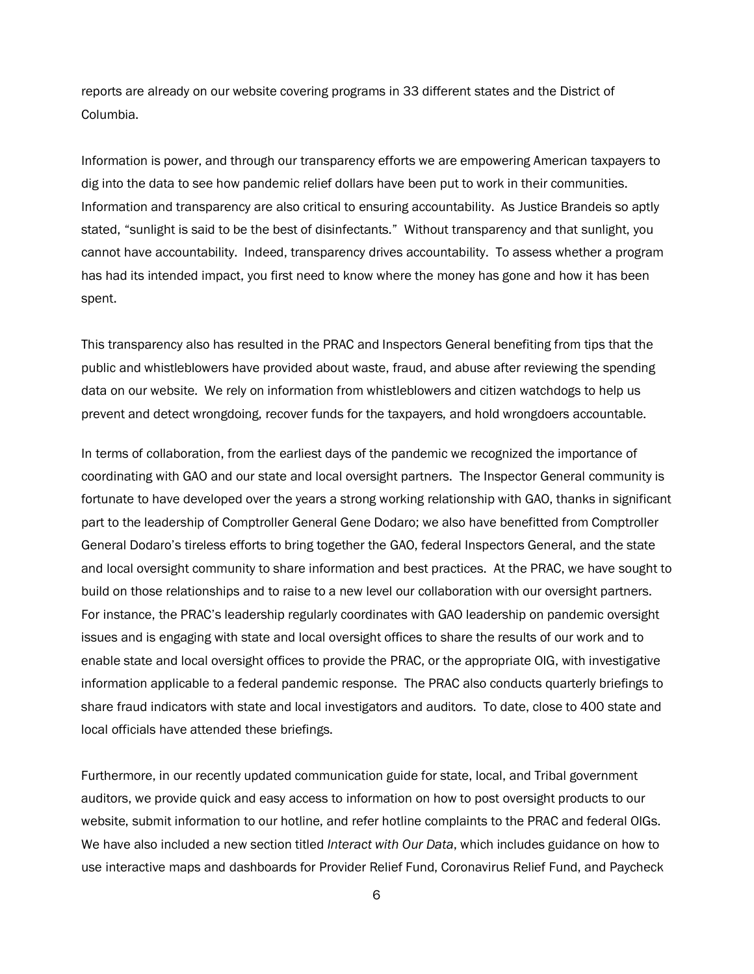reports are already on our website covering programs in 33 different states and the District of Columbia.

Information is power, and through our transparency efforts we are empowering American taxpayers to dig into the data to see how pandemic relief dollars have been put to work in their communities. Information and transparency are also critical to ensuring accountability. As Justice Brandeis so aptly stated, "sunlight is said to be the best of disinfectants." Without transparency and that sunlight, you cannot have accountability. Indeed, transparency drives accountability. To assess whether a program has had its intended impact, you first need to know where the money has gone and how it has been spent.

This transparency also has resulted in the PRAC and Inspectors General benefiting from tips that the public and whistleblowers have provided about waste, fraud, and abuse after reviewing the spending data on our website. We rely on information from whistleblowers and citizen watchdogs to help us prevent and detect wrongdoing, recover funds for the taxpayers, and hold wrongdoers accountable.

In terms of collaboration, from the earliest days of the pandemic we recognized the importance of coordinating with GAO and our state and local oversight partners. The Inspector General community is fortunate to have developed over the years a strong working relationship with GAO, thanks in significant part to the leadership of Comptroller General Gene Dodaro; we also have benefitted from Comptroller General Dodaro's tireless efforts to bring together the GAO, federal Inspectors General, and the state and local oversight community to share information and best practices. At the PRAC, we have sought to build on those relationships and to raise to a new level our collaboration with our oversight partners. For instance, the PRAC's leadership regularly coordinates with GAO leadership on pandemic oversight issues and is engaging with state and local oversight offices to share the results of our work and to enable state and local oversight offices to provide the PRAC, or the appropriate OIG, with investigative information applicable to a federal pandemic response. The PRAC also conducts quarterly briefings to share fraud indicators with state and local investigators and auditors. To date, close to 400 state and local officials have attended these briefings.

Furthermore, in our recently updated communication guide for state, local, and Tribal government auditors, we provide quick and easy access to information on how to post oversight products to our website, submit information to our hotline, and refer hotline complaints to the PRAC and federal OIGs. We have also included a new section titled *Interact with Our Data*, which includes guidance on how to use interactive maps and dashboards for Provider Relief Fund, Coronavirus Relief Fund, and Paycheck

6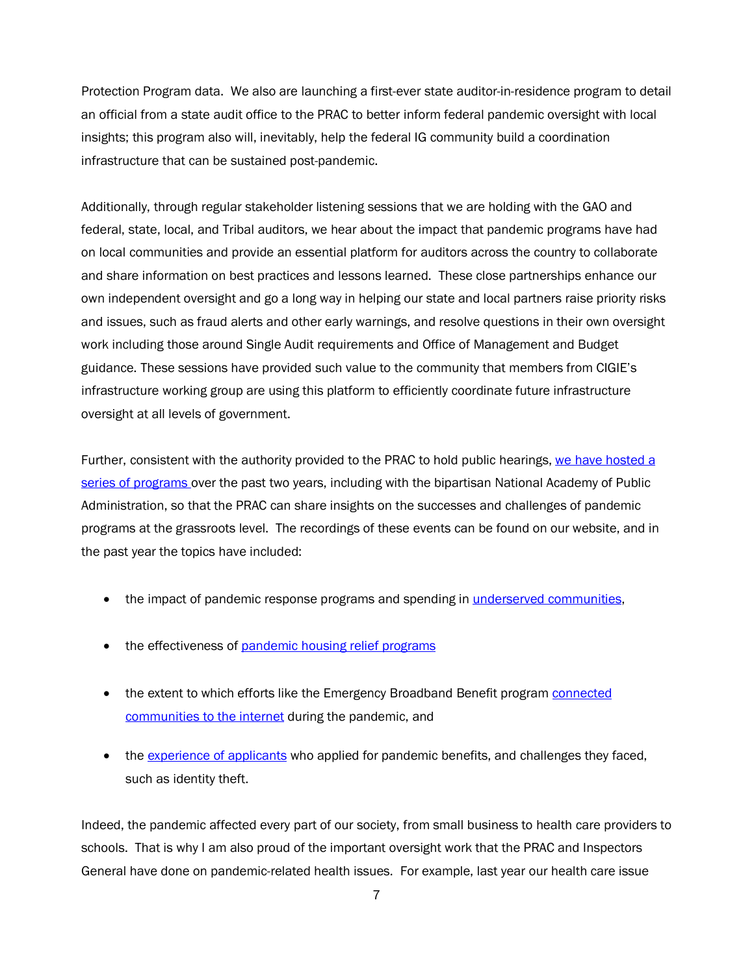Protection Program data. We also are launching a first-ever state auditor-in-residence program to detail an official from a state audit office to the PRAC to better inform federal pandemic oversight with local insights; this program also will, inevitably, help the federal IG community build a coordination infrastructure that can be sustained post-pandemic.

Additionally, through regular stakeholder listening sessions that we are holding with the GAO and federal, state, local, and Tribal auditors, we hear about the impact that pandemic programs have had on local communities and provide an essential platform for auditors across the country to collaborate and share information on best practices and lessons learned. These close partnerships enhance our own independent oversight and go a long way in helping our state and local partners raise priority risks and issues, such as fraud alerts and other early warnings, and resolve questions in their own oversight work including those around Single Audit requirements and Office of Management and Budget guidance. These sessions have provided such value to the community that members from CIGIE's infrastructure working group are using this platform to efficiently coordinate future infrastructure oversight at all levels of government.

Further, consistent with the authority provided to the PRAC to hold public hearings, [we have hosted](https://www.pandemicoversight.gov/news/events) a [series of programs](https://www.pandemicoversight.gov/news/events) over the past two years, including with the bipartisan National Academy of Public Administration, so that the PRAC can share insights on the successes and challenges of pandemic programs at the grassroots level. The recordings of these events can be found on our website, and in the past year the topics have included:

- the impact of pandemic response programs and spending in [underserved communities,](https://www.pandemicoversight.gov/news/events/pandemic-spending-and-underserved-communities)
- the effectiveness of pandemic [housing relief](https://www.pandemicoversight.gov/news/events/pandemic-housing-relief-programs) programs
- the extent to which efforts like the Emergency Broadband Benefit program [connected](https://www.pandemicoversight.gov/news/events/pandemic-response-programs-internet-access) [communities to the internet](https://www.pandemicoversight.gov/news/events/pandemic-response-programs-internet-access) during the pandemic, and
- the [experience of applicants](https://www.pandemicoversight.gov/news/events/roundtable-event-whats-it-applying-pandemic-relief-funds-0) who applied for pandemic benefits, and challenges they faced, such as identity theft.

Indeed, the pandemic affected every part of our society, from small business to health care providers to schools. That is why I am also proud of the important oversight work that the PRAC and Inspectors General have done on pandemic-related health issues. For example, last year our health care issue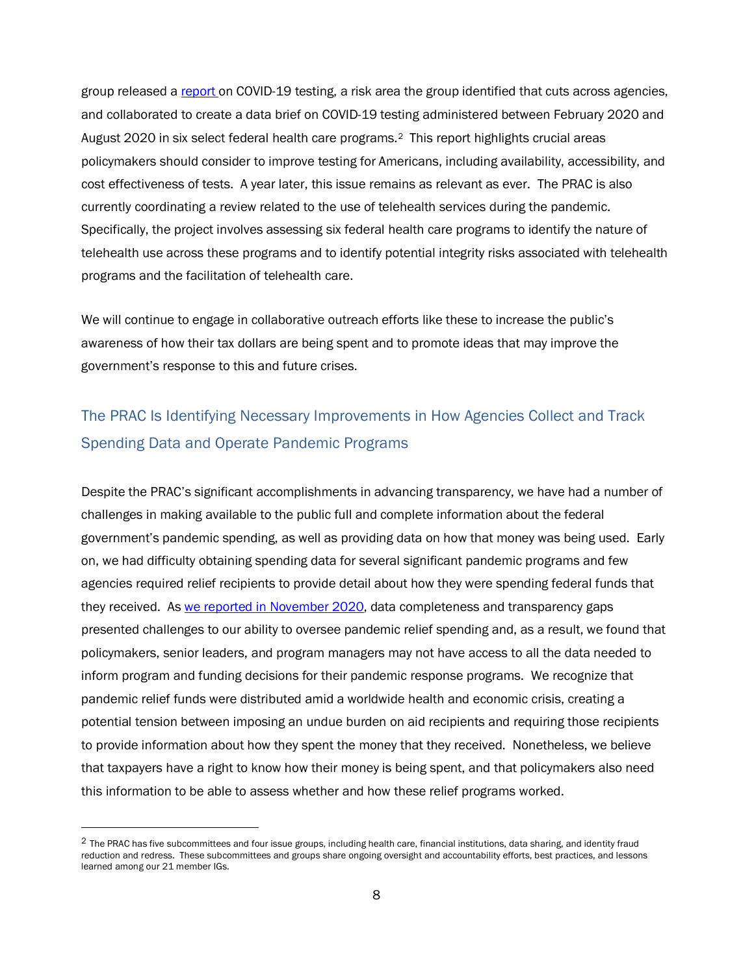group released a [report o](https://www.pandemicoversight.gov/oversight/our-publications-reports/federal-covid-19-testing-report)n COVID-19 testing, a risk area the group identified that cuts across agencies, and collaborated to create a data brief on COVID-19 testing administered between February 2020 and August 2020 in six select federal health care programs.[2](#page-7-0) This report highlights crucial areas policymakers should consider to improve testing for Americans, including availability, accessibility, and cost effectiveness of tests. A year later, this issue remains as relevant as ever. The PRAC is also currently coordinating a review related to the use of telehealth services during the pandemic. Specifically, the project involves assessing six federal health care programs to identify the nature of telehealth use across these programs and to identify potential integrity risks associated with telehealth programs and the facilitation of telehealth care.

We will continue to engage in collaborative outreach efforts like these to increase the public's awareness of how their tax dollars are being spent and to promote ideas that may improve the government's response to this and future crises.

### The PRAC Is Identifying Necessary Improvements in How Agencies Collect and Track Spending Data and Operate Pandemic Programs

Despite the PRAC's significant accomplishments in advancing transparency, we have had a number of challenges in making available to the public full and complete information about the federal government's pandemic spending, as well as providing data on how that money was being used. Early on, we had difficulty obtaining spending data for several significant pandemic programs and few agencies required relief recipients to provide detail about how they were spending federal funds that they received. A[s we reported in November 2020,](https://www.pandemicoversight.gov/sites/default/files/2020-11/Executive%20Summary%20and%20Cover%20Letter%20on%20Transparency%20in%20Pandemic-Related%20Federal%20Spending%2011-20.pdf) data completeness and transparency gaps presented challenges to our ability to oversee pandemic relief spending and, as a result, we found that policymakers, senior leaders, and program managers may not have access to all the data needed to inform program and funding decisions for their pandemic response programs. We recognize that pandemic relief funds were distributed amid a worldwide health and economic crisis, creating a potential tension between imposing an undue burden on aid recipients and requiring those recipients to provide information about how they spent the money that they received. Nonetheless, we believe that taxpayers have a right to know how their money is being spent, and that policymakers also need this information to be able to assess whether and how these relief programs worked.

<span id="page-7-0"></span><sup>&</sup>lt;sup>2</sup> The PRAC has five subcommittees and four issue groups, including health care, financial institutions, data sharing, and identity fraud reduction and redress. These subcommittees and groups share ongoing oversight and accountability efforts, best practices, and lessons learned among our 21 member IGs.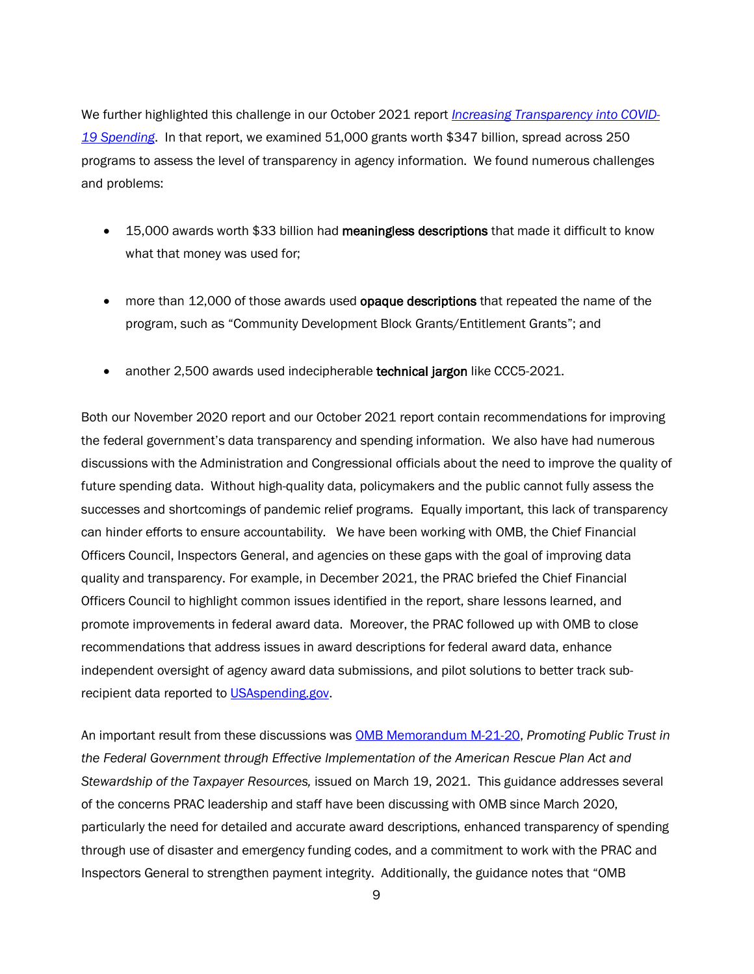We further highlighted this challenge in our October 2021 report *[Increasing Transparency into COVID-](https://www.pandemicoversight.gov/media/file/increasing-transparency-covid-19-spending10192021pdf)[19 Spending](https://www.pandemicoversight.gov/media/file/increasing-transparency-covid-19-spending10192021pdf)*. In that report, we examined 51,000 grants worth \$347 billion, spread across 250 programs to assess the level of transparency in agency information. We found numerous challenges and problems:

- 15,000 awards worth \$33 billion had meaningless descriptions that made it difficult to know what that money was used for;
- more than 12,000 of those awards used **opaque descriptions** that repeated the name of the program, such as "Community Development Block Grants/Entitlement Grants"; and
- another 2,500 awards used indecipherable technical jargon like CCC5-2021.

Both our November 2020 report and our October 2021 report contain recommendations for improving the federal government's data transparency and spending information. We also have had numerous discussions with the Administration and Congressional officials about the need to improve the quality of future spending data. Without high-quality data, policymakers and the public cannot fully assess the successes and shortcomings of pandemic relief programs. Equally important, this lack of transparency can hinder efforts to ensure accountability. We have been working with OMB, the Chief Financial Officers Council, Inspectors General, and agencies on these gaps with the goal of improving data quality and transparency. For example, in December 2021, the PRAC briefed the Chief Financial Officers Council to highlight common issues identified in the report, share lessons learned, and promote improvements in federal award data. Moreover, the PRAC followed up with OMB to close recommendations that address issues in award descriptions for federal award data, enhance independent oversight of agency award data submissions, and pilot solutions to better track sub-recipient data reported to [USAspending.gov.](http://www.usaspending.gov/)

An important result from these discussions was [OMB Memorandum M-21-20,](https://www.whitehouse.gov/wp-content/uploads/2021/03/M_21_20.pdf) *Promoting Public Trust in the Federal Government through Effective Implementation of the American Rescue Plan Act and Stewardship of the Taxpayer Resources,* issued on March 19, 2021. This guidance addresses several of the concerns PRAC leadership and staff have been discussing with OMB since March 2020, particularly the need for detailed and accurate award descriptions, enhanced transparency of spending through use of disaster and emergency funding codes, and a commitment to work with the PRAC and Inspectors General to strengthen payment integrity. Additionally, the guidance notes that "OMB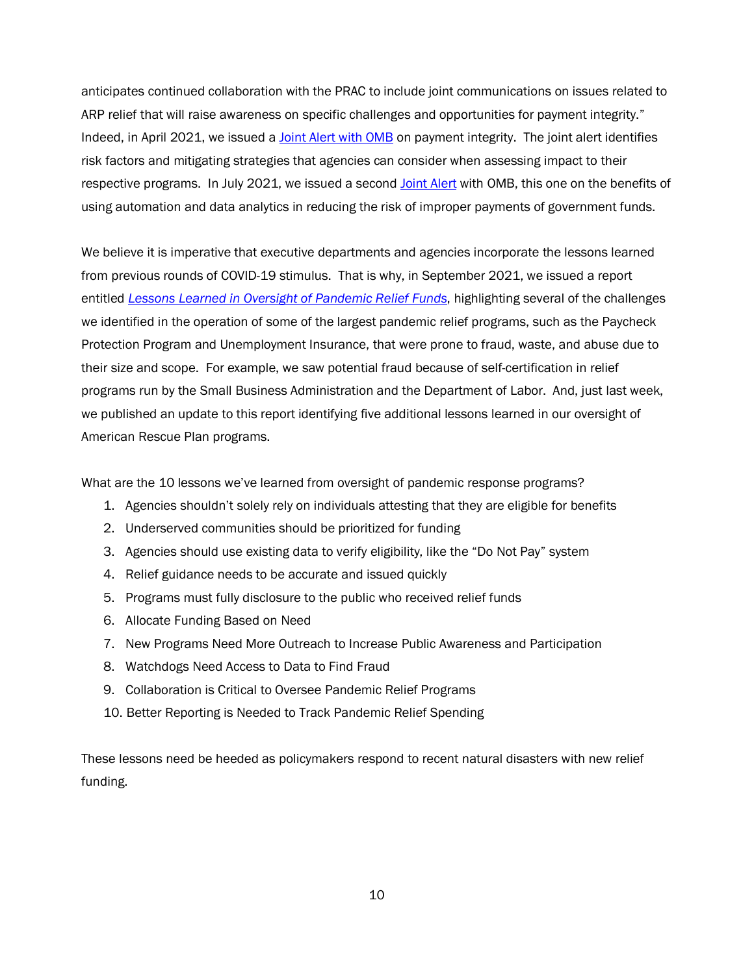anticipates continued collaboration with the PRAC to include joint communications on issues related to ARP relief that will raise awareness on specific challenges and opportunities for payment integrity." Indeed, in April 2021, we issued a **Joint Alert with OMB** on payment integrity. The joint alert identifies risk factors and mitigating strategies that agencies can consider when assessing impact to their respective programs. In July 2021, we issued a second [Joint Alert](https://www.pandemicoversight.gov/news/articles/joint-announcement-john-pasquantino-acting-omb-controller-and-michael-horowitz-prac-0) with OMB, this one on the benefits of using automation and data analytics in reducing the risk of improper payments of government funds.

We believe it is imperative that executive departments and agencies incorporate the lessons learned from previous rounds of COVID-19 stimulus. That is why, in September 2021, we issued a report entitled *[Lessons Learned in Oversight of Pandemic Relief Funds](https://www.pandemicoversight.gov/media/file/prac-lessons-learned-update-june-2022pdf)*, highlighting several of the challenges we identified in the operation of some of the largest pandemic relief programs, such as the Paycheck Protection Program and Unemployment Insurance, that were prone to fraud, waste, and abuse due to their size and scope. For example, we saw potential fraud because of self-certification in relief programs run by the Small Business Administration and the Department of Labor. And, just last week, we published an update to this report identifying five additional lessons learned in our oversight of American Rescue Plan programs.

What are the 10 lessons we've learned from oversight of pandemic response programs?

- 1. Agencies shouldn't solely rely on individuals attesting that they are eligible for benefits
- 2. Underserved communities should be prioritized for funding
- 3. Agencies should use existing data to verify eligibility, like the "Do Not Pay" system
- 4. Relief guidance needs to be accurate and issued quickly
- 5. Programs must fully disclosure to the public who received relief funds
- 6. Allocate Funding Based on Need
- 7. New Programs Need More Outreach to Increase Public Awareness and Participation
- 8. Watchdogs Need Access to Data to Find Fraud
- 9. Collaboration is Critical to Oversee Pandemic Relief Programs
- 10. Better Reporting is Needed to Track Pandemic Relief Spending

These lessons need be heeded as policymakers respond to recent natural disasters with new relief funding.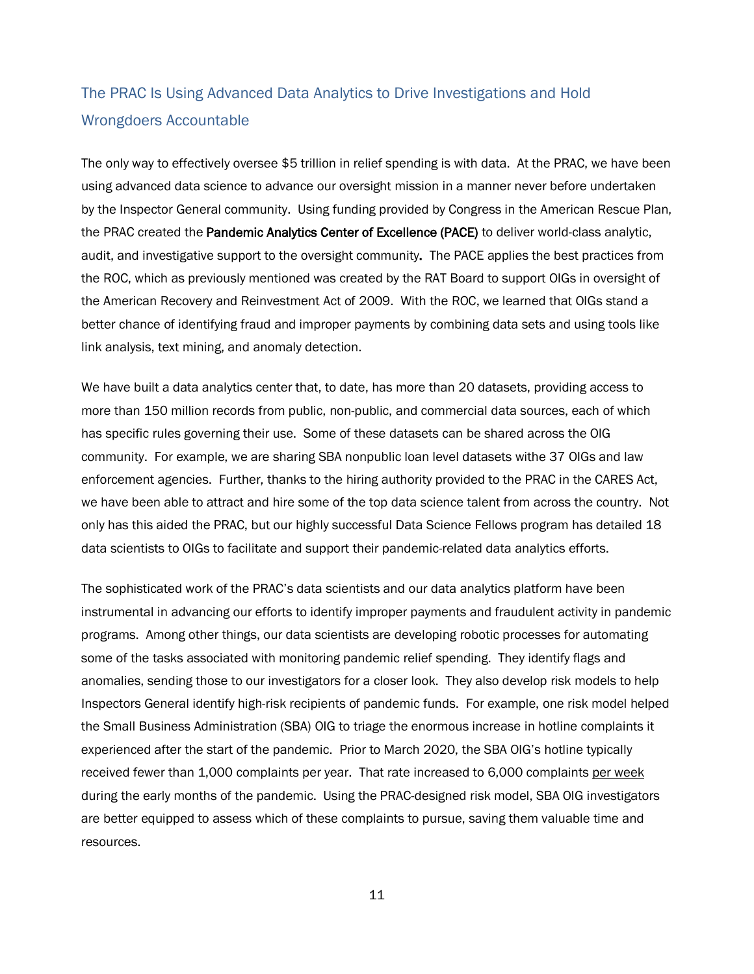## The PRAC Is Using Advanced Data Analytics to Drive Investigations and Hold Wrongdoers Accountable

The only way to effectively oversee \$5 trillion in relief spending is with data. At the PRAC, we have been using advanced data science to advance our oversight mission in a manner never before undertaken by the Inspector General community. Using funding provided by Congress in the American Rescue Plan, the PRAC created the Pandemic Analytics Center of Excellence (PACE) to deliver world-class analytic, audit, and investigative support to the oversight community. The PACE applies the best practices from the ROC, which as previously mentioned was created by the RAT Board to support OIGs in oversight of the American Recovery and Reinvestment Act of 2009. With the ROC, we learned that OIGs stand a better chance of identifying fraud and improper payments by combining data sets and using tools like link analysis, text mining, and anomaly detection.

We have built a data analytics center that, to date, has more than 20 datasets, providing access to more than 150 million records from public, non-public, and commercial data sources, each of which has specific rules governing their use. Some of these datasets can be shared across the OIG community. For example, we are sharing SBA nonpublic loan level datasets withe 37 OIGs and law enforcement agencies. Further, thanks to the hiring authority provided to the PRAC in the CARES Act, we have been able to attract and hire some of the top data science talent from across the country. Not only has this aided the PRAC, but our highly successful Data Science Fellows program has detailed 18 data scientists to OIGs to facilitate and support their pandemic-related data analytics efforts.

The sophisticated work of the PRAC's data scientists and our data analytics platform have been instrumental in advancing our efforts to identify improper payments and fraudulent activity in pandemic programs. Among other things, our data scientists are developing robotic processes for automating some of the tasks associated with monitoring pandemic relief spending. They identify flags and anomalies, sending those to our investigators for a closer look. They also develop risk models to help Inspectors General identify high-risk recipients of pandemic funds. For example, one risk model helped the Small Business Administration (SBA) OIG to triage the enormous increase in hotline complaints it experienced after the start of the pandemic. Prior to March 2020, the SBA OIG's hotline typically received fewer than 1,000 complaints per year. That rate increased to 6,000 complaints per week during the early months of the pandemic. Using the PRAC-designed risk model, SBA OIG investigators are better equipped to assess which of these complaints to pursue, saving them valuable time and resources.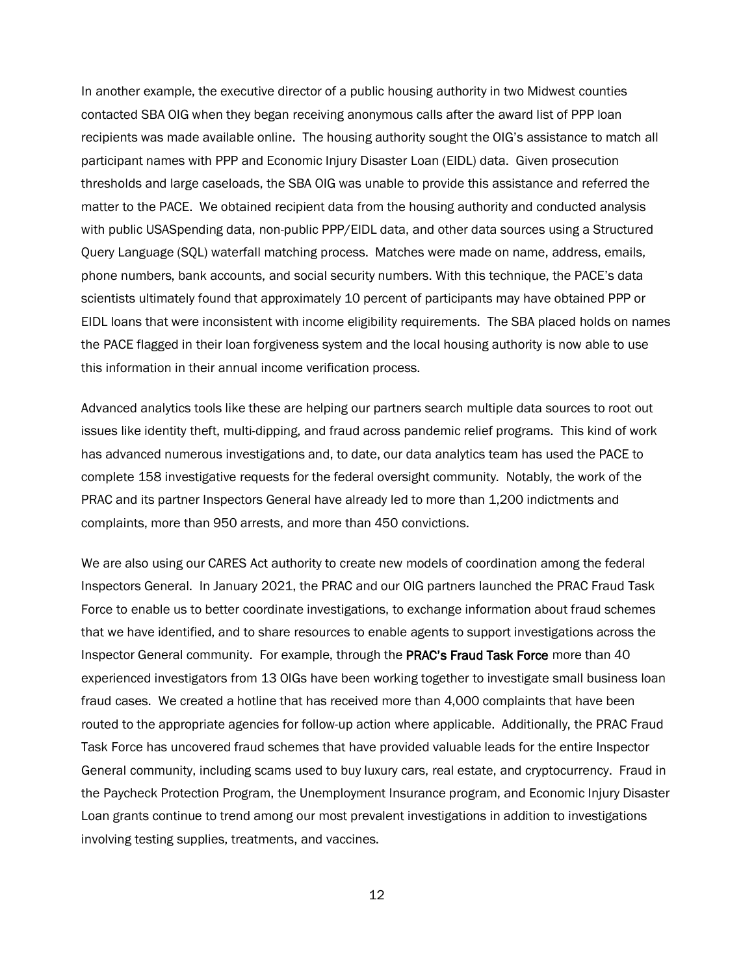In another example, the executive director of a public housing authority in two Midwest counties contacted SBA OIG when they began receiving anonymous calls after the award list of PPP loan recipients was made available online. The housing authority sought the OIG's assistance to match all participant names with PPP and Economic Injury Disaster Loan (EIDL) data. Given prosecution thresholds and large caseloads, the SBA OIG was unable to provide this assistance and referred the matter to the PACE. We obtained recipient data from the housing authority and conducted analysis with public USASpending data, non-public PPP/EIDL data, and other data sources using a Structured Query Language (SQL) waterfall matching process. Matches were made on name, address, emails, phone numbers, bank accounts, and social security numbers. With this technique, the PACE's data scientists ultimately found that approximately 10 percent of participants may have obtained PPP or EIDL loans that were inconsistent with income eligibility requirements. The SBA placed holds on names the PACE flagged in their loan forgiveness system and the local housing authority is now able to use this information in their annual income verification process.

Advanced analytics tools like these are helping our partners search multiple data sources to root out issues like identity theft, multi-dipping, and fraud across pandemic relief programs. This kind of work has advanced numerous investigations and, to date, our data analytics team has used the PACE to complete 158 investigative requests for the federal oversight community. Notably, the work of the PRAC and its partner Inspectors General have already led to more than 1,200 indictments and complaints, more than 950 arrests, and more than 450 convictions.

We are also using our CARES Act authority to create new models of coordination among the federal Inspectors General. In January 2021, the PRAC and our OIG partners launched the PRAC Fraud Task Force to enable us to better coordinate investigations, to exchange information about fraud schemes that we have identified, and to share resources to enable agents to support investigations across the Inspector General community. For example, through the PRAC's Fraud Task Force more than 40 experienced investigators from 13 OIGs have been working together to investigate small business loan fraud cases. We created a hotline that has received more than 4,000 complaints that have been routed to the appropriate agencies for follow-up action where applicable. Additionally, the PRAC Fraud Task Force has uncovered fraud schemes that have provided valuable leads for the entire Inspector General community, including scams used to buy luxury cars, real estate, and cryptocurrency. Fraud in the Paycheck Protection Program, the Unemployment Insurance program, and Economic Injury Disaster Loan grants continue to trend among our most prevalent investigations in addition to investigations involving testing supplies, treatments, and vaccines.

12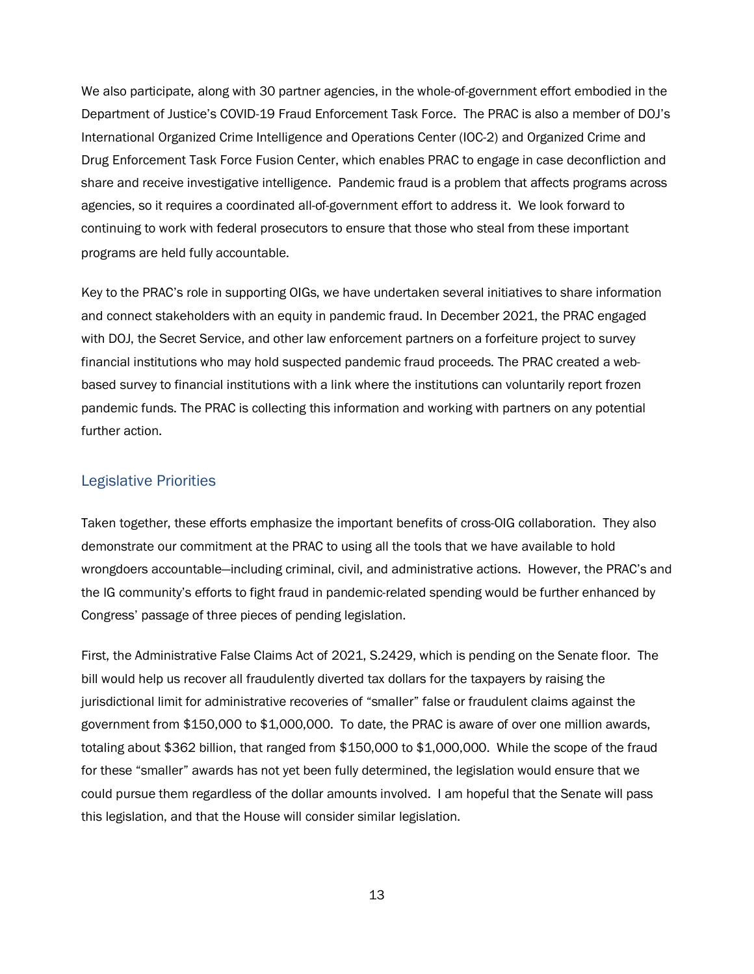We also participate, along with 30 partner agencies, in the whole-of-government effort embodied in the Department of Justice's COVID-19 Fraud Enforcement Task Force. The PRAC is also a member of DOJ's International Organized Crime Intelligence and Operations Center (IOC-2) and Organized Crime and Drug Enforcement Task Force Fusion Center, which enables PRAC to engage in case deconfliction and share and receive investigative intelligence. Pandemic fraud is a problem that affects programs across agencies, so it requires a coordinated all-of-government effort to address it. We look forward to continuing to work with federal prosecutors to ensure that those who steal from these important programs are held fully accountable.

Key to the PRAC's role in supporting OIGs, we have undertaken several initiatives to share information and connect stakeholders with an equity in pandemic fraud. In December 2021, the PRAC engaged with DOJ, the Secret Service, and other law enforcement partners on a forfeiture project to survey financial institutions who may hold suspected pandemic fraud proceeds. The PRAC created a webbased survey to financial institutions with a link where the institutions can voluntarily report frozen pandemic funds. The PRAC is collecting this information and working with partners on any potential further action.

### Legislative Priorities

Taken together, these efforts emphasize the important benefits of cross-OIG collaboration. They also demonstrate our commitment at the PRAC to using all the tools that we have available to hold wrongdoers accountable—including criminal, civil, and administrative actions. However, the PRAC's and the IG community's efforts to fight fraud in pandemic-related spending would be further enhanced by Congress' passage of three pieces of pending legislation.

First, the Administrative False Claims Act of 2021, S.2429, which is pending on the Senate floor. The bill would help us recover all fraudulently diverted tax dollars for the taxpayers by raising the jurisdictional limit for administrative recoveries of "smaller" false or fraudulent claims against the government from \$150,000 to \$1,000,000. To date, the PRAC is aware of over one million awards, totaling about \$362 billion, that ranged from \$150,000 to \$1,000,000. While the scope of the fraud for these "smaller" awards has not yet been fully determined, the legislation would ensure that we could pursue them regardless of the dollar amounts involved. I am hopeful that the Senate will pass this legislation, and that the House will consider similar legislation.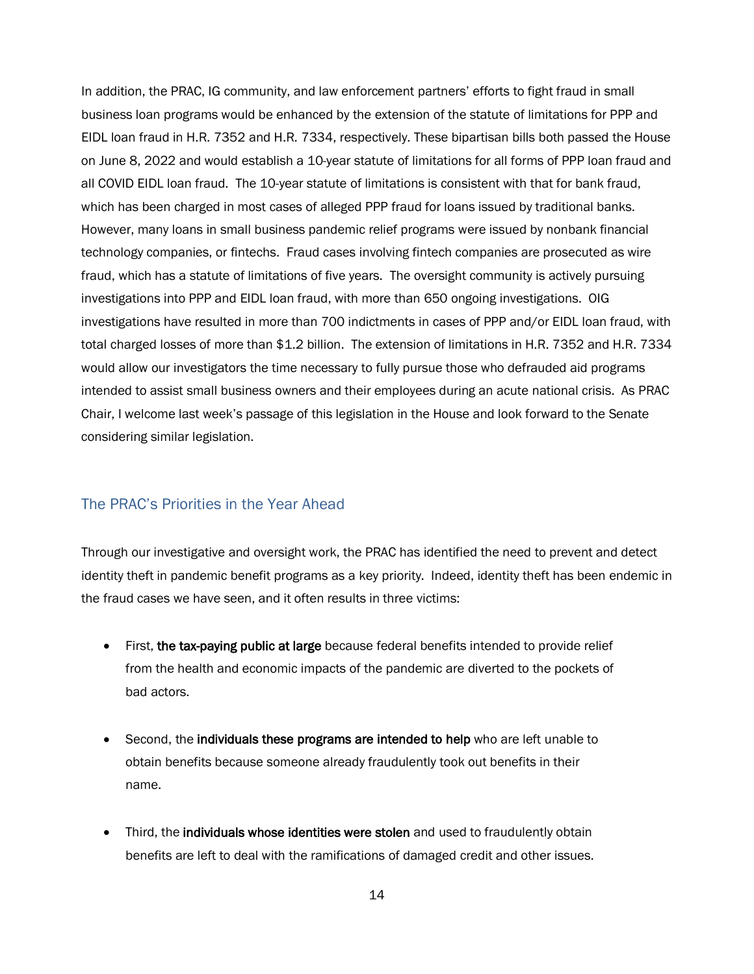In addition, the PRAC, IG community, and law enforcement partners' efforts to fight fraud in small business loan programs would be enhanced by the extension of the statute of limitations for PPP and EIDL loan fraud in H.R. 7352 and H.R. 7334, respectively. These bipartisan bills both passed the House on June 8, 2022 and would establish a 10-year statute of limitations for all forms of PPP loan fraud and all COVID EIDL loan fraud. The 10-year statute of limitations is consistent with that for bank fraud, which has been charged in most cases of alleged PPP fraud for loans issued by traditional banks. However, many loans in small business pandemic relief programs were issued by nonbank financial technology companies, or fintechs. Fraud cases involving fintech companies are prosecuted as wire fraud, which has a statute of limitations of five years. The oversight community is actively pursuing investigations into PPP and EIDL loan fraud, with more than 650 ongoing investigations. OIG investigations have resulted in more than 700 indictments in cases of PPP and/or EIDL loan fraud, with total charged losses of more than \$1.2 billion. The extension of limitations in H.R. 7352 and H.R. 7334 would allow our investigators the time necessary to fully pursue those who defrauded aid programs intended to assist small business owners and their employees during an acute national crisis. As PRAC Chair, I welcome last week's passage of this legislation in the House and look forward to the Senate considering similar legislation.

### The PRAC's Priorities in the Year Ahead

Through our investigative and oversight work, the PRAC has identified the need to prevent and detect identity theft in pandemic benefit programs as a key priority. Indeed, identity theft has been endemic in the fraud cases we have seen, and it often results in three victims:

- First, the tax-paying public at large because federal benefits intended to provide relief from the health and economic impacts of the pandemic are diverted to the pockets of bad actors.
- Second, the individuals these programs are intended to help who are left unable to obtain benefits because someone already fraudulently took out benefits in their name.
- Third, the individuals whose identities were stolen and used to fraudulently obtain benefits are left to deal with the ramifications of damaged credit and other issues.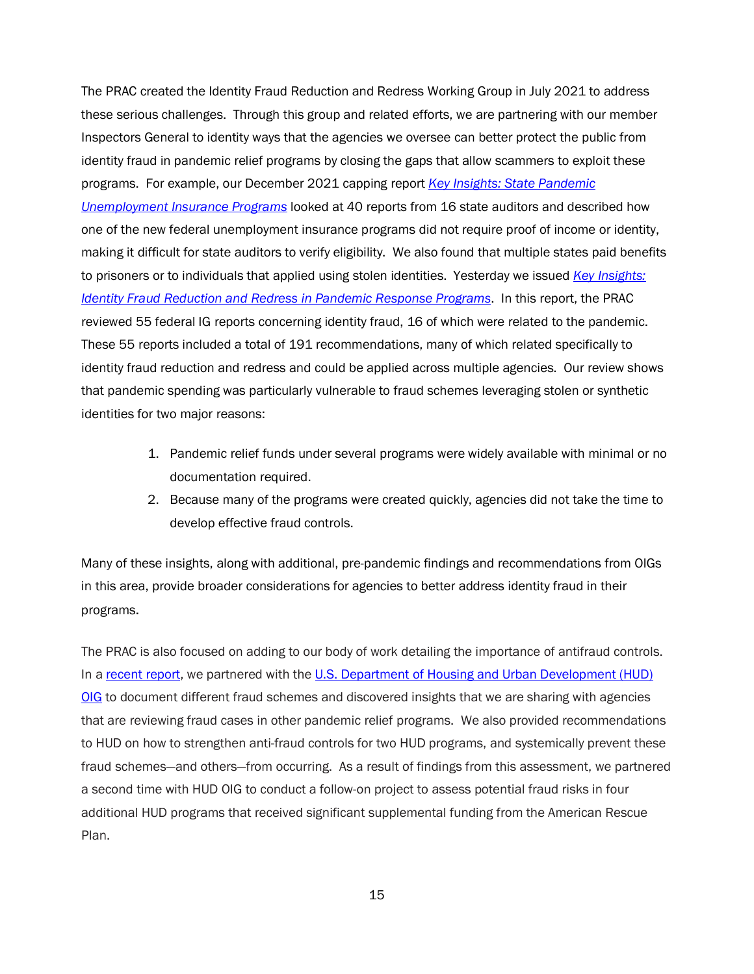The PRAC created the Identity Fraud Reduction and Redress Working Group in July 2021 to address these serious challenges. Through this group and related efforts, we are partnering with our member Inspectors General to identity ways that the agencies we oversee can better protect the public from identity fraud in pandemic relief programs by closing the gaps that allow scammers to exploit these programs. For example, our December 2021 capping report *[Key Insights: State Pandemic](https://www.pandemicoversight.gov/media/file/state-unemployment-insurance-capping-report)  [Unemployment Insurance Programs](https://www.pandemicoversight.gov/media/file/state-unemployment-insurance-capping-report)* looked at 40 reports from 16 state auditors and described how one of the new federal unemployment insurance programs did not require proof of income or identity, making it difficult for state auditors to verify eligibility. We also found that multiple states paid benefits to prisoners or to individuals that applied using stolen identities. Yesterday we issued *[Key Insights:](https://www.pandemicoversight.gov/spotlight/identity-theft-in-pandemic-benefits-programs)  [Identity Fraud Reduction and Redress in Pandemic Response Programs](https://www.pandemicoversight.gov/spotlight/identity-theft-in-pandemic-benefits-programs)*. In this report, the PRAC reviewed 55 federal IG reports concerning identity fraud, 16 of which were related to the pandemic. These 55 reports included a total of 191 recommendations, many of which related specifically to identity fraud reduction and redress and could be applied across multiple agencies. Our review shows that pandemic spending was particularly vulnerable to fraud schemes leveraging stolen or synthetic identities for two major reasons:

- 1. Pandemic relief funds under several programs were widely available with minimal or no documentation required.
- 2. Because many of the programs were created quickly, agencies did not take the time to develop effective fraud controls.

Many of these insights, along with additional, pre-pandemic findings and recommendations from OIGs in this area, provide broader considerations for agencies to better address identity fraud in their programs.

The PRAC is also focused on adding to our body of work detailing the importance of antifraud controls. In a [recent report,](https://www.hudoig.gov/reports-publications/memorandum/fraud-risk-inventory-cdbg-and-esg-cares-act-funds) we partnered with the U.S. Department of Housing and Urban Development (HUD) [OIG](https://www.hudoig.gov/) to document different fraud schemes and discovered insights that we are sharing with agencies that are reviewing fraud cases in other pandemic relief programs. We also provided recommendations to HUD on how to strengthen anti-fraud controls for two HUD programs, and systemically prevent these fraud schemes—and others—from occurring. As a result of findings from this assessment, we partnered a second time with HUD OIG to conduct a follow-on project to assess potential fraud risks in four additional HUD programs that received significant supplemental funding from the American Rescue Plan.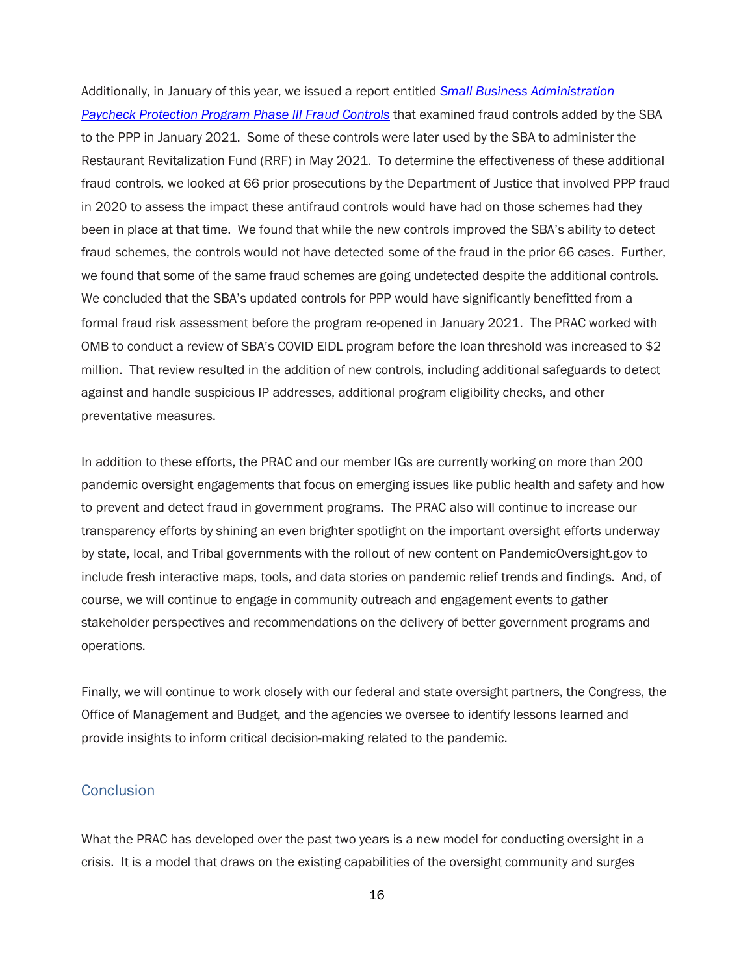Additionally, in January of this year, we issued a report entitled *[Small Business Administration](https://www.pandemicoversight.gov/sites/default/files/2022-01/SBA_Fraud_Controls_Final_02_Jan21.pdf)  [Paycheck Protection Program Phase III Fraud Controls](https://www.pandemicoversight.gov/sites/default/files/2022-01/SBA_Fraud_Controls_Final_02_Jan21.pdf)* that examined fraud controls added by the SBA to the PPP in January 2021. Some of these controls were later used by the SBA to administer the Restaurant Revitalization Fund (RRF) in May 2021. To determine the effectiveness of these additional fraud controls, we looked at 66 prior prosecutions by the Department of Justice that involved PPP fraud in 2020 to assess the impact these antifraud controls would have had on those schemes had they been in place at that time. We found that while the new controls improved the SBA's ability to detect fraud schemes, the controls would not have detected some of the fraud in the prior 66 cases. Further, we found that some of the same fraud schemes are going undetected despite the additional controls. We concluded that the SBA's updated controls for PPP would have significantly benefitted from a formal fraud risk assessment before the program re-opened in January 2021. The PRAC worked with OMB to conduct a review of SBA's COVID EIDL program before the loan threshold was increased to \$2 million. That review resulted in the addition of new controls, including additional safeguards to detect against and handle suspicious IP addresses, additional program eligibility checks, and other preventative measures.

In addition to these efforts, the PRAC and our member IGs are currently working on more than 200 pandemic oversight engagements that focus on emerging issues like public health and safety and how to prevent and detect fraud in government programs. The PRAC also will continue to increase our transparency efforts by shining an even brighter spotlight on the important oversight efforts underway by state, local, and Tribal governments with the rollout of new content on PandemicOversight.gov to include fresh interactive maps, tools, and data stories on pandemic relief trends and findings. And, of course, we will continue to engage in community outreach and engagement events to gather stakeholder perspectives and recommendations on the delivery of better government programs and operations.

Finally, we will continue to work closely with our federal and state oversight partners, the Congress, the Office of Management and Budget, and the agencies we oversee to identify lessons learned and provide insights to inform critical decision-making related to the pandemic.

### **Conclusion**

What the PRAC has developed over the past two years is a new model for conducting oversight in a crisis. It is a model that draws on the existing capabilities of the oversight community and surges

16